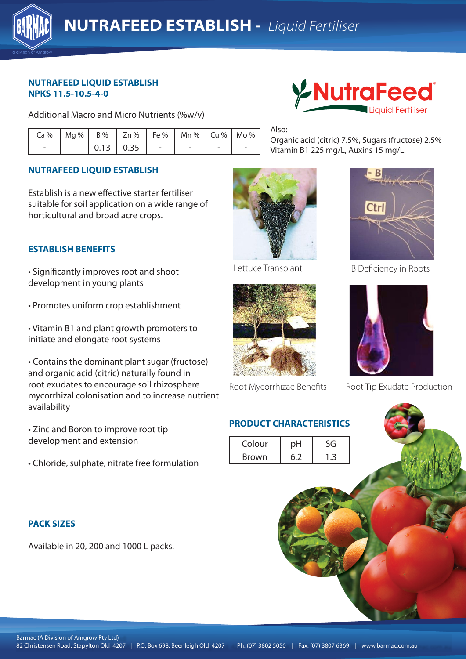

### **NUTRAFEED LIQUID ESTABLISH NPKS 11.5-10.5-4-0**

Additional Macro and Micro Nutrients (%w/v)

|                          |  |                   | $Ca\%$   Mg %   B %   Zn %   Fe %   Mn %   Cu %   Mo % |  |
|--------------------------|--|-------------------|--------------------------------------------------------|--|
| $\overline{\phantom{a}}$ |  | $-$ 0.13 0.35 $-$ |                                                        |  |

# **NUTRAFEED LIQUID ESTABLISH**

Establish is a new effective starter fertiliser suitable for soil application on a wide range of horticultural and broad acre crops.

# **ESTABLISH BENEFITS**

• Significantly improves root and shoot development in young plants

• Promotes uniform crop establishment

• Vitamin B1 and plant growth promoters to initiate and elongate root systems

• Contains the dominant plant sugar (fructose) and organic acid (citric) naturally found in root exudates to encourage soil rhizosphere mycorrhizal colonisation and to increase nutrient availability

• Zinc and Boron to improve root tip development and extension

• Chloride, sulphate, nitrate free formulation

### **PACK SIZES**

Available in 20, 200 and 1000 L packs.



Also:

Organic acid (citric) 7.5%, Sugars (fructose) 2.5% Vitamin B1 225 mg/L, Auxins 15 mg/L.







Root Mycorrhizae Benefits

# **PRODUCT CHARACTERISTICS**

| Colour       |  |
|--------------|--|
| <b>Brown</b> |  |



Lettuce Transplant B Deficiency in Roots



Root Tip Exudate Production